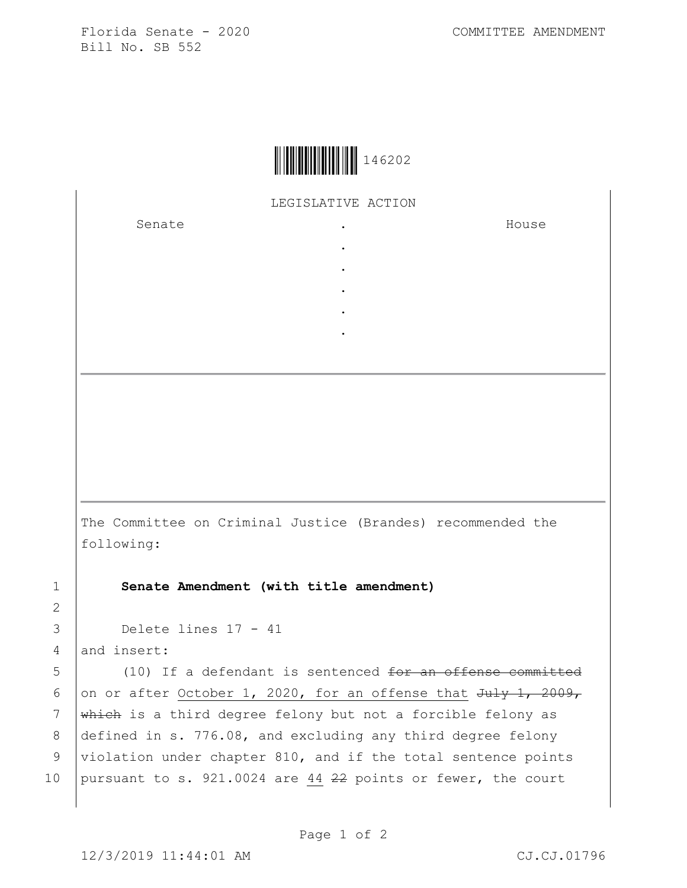Florida Senate - 2020 COMMITTEE AMENDMENT Bill No. SB 552



LEGISLATIVE ACTION

. . . . .

Senate the senate of the senate  $\cdot$ 

House

The Committee on Criminal Justice (Brandes) recommended the following:

1 **Senate Amendment (with title amendment)**

3 Delete lines 17 - 41

4 and insert:

2

5 (10) If a defendant is sentenced <del>for an offense committed</del> 6 on or after October 1, 2020, for an offense that  $Ju\psi$  1, 2009, 7 which is a third degree felony but not a forcible felony as 8 defined in s. 776.08, and excluding any third degree felony 9 violation under chapter 810, and if the total sentence points 10 pursuant to s. 921.0024 are 44  $22$  points or fewer, the court